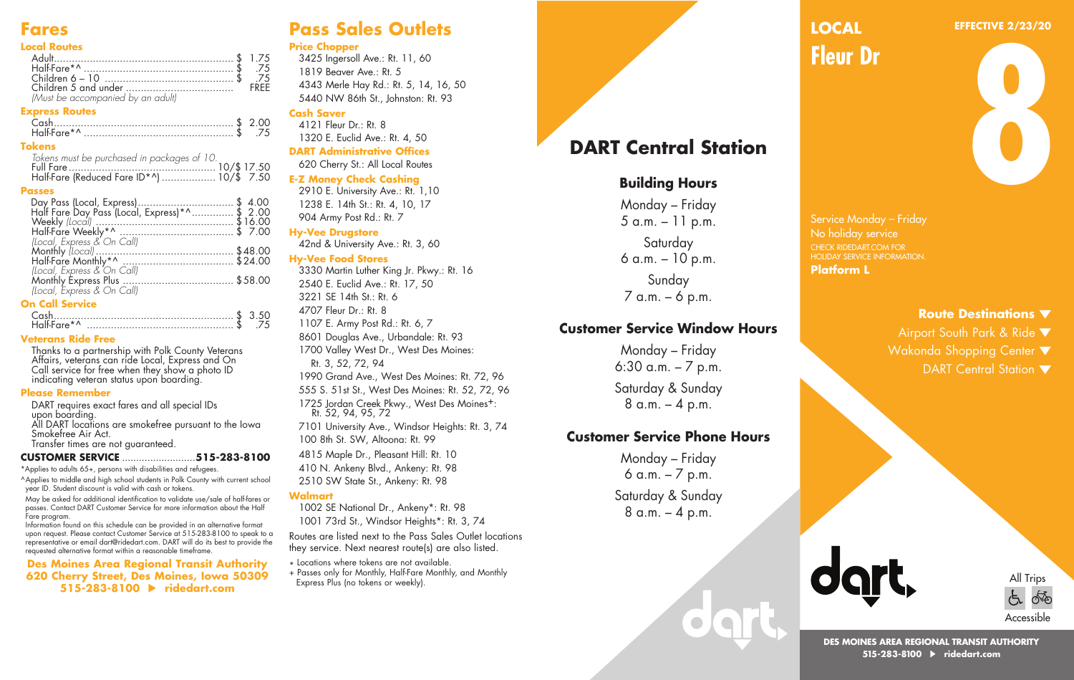# **Fares**

#### **Local Routes**

| 75. \$ .75.                     |  |
|---------------------------------|--|
|                                 |  |
|                                 |  |
| Must be accompanied by an adult |  |

#### **Express Routes**

| Half-Fare*^ | .75 |
|-------------|-----|

#### **Tokens**

| Tokens must be purchased in packages of 10. |  |
|---------------------------------------------|--|
|                                             |  |
|                                             |  |

#### **Passes**

| Day Pass (Local, Express)\$ 4.00<br>Half Fare Day Pass (Local, Express)*^\$ 2.00 |  |
|----------------------------------------------------------------------------------|--|
|                                                                                  |  |
|                                                                                  |  |
| (Local, Express & On Call)                                                       |  |
|                                                                                  |  |
|                                                                                  |  |
| (Local, Express & On Call)                                                       |  |
|                                                                                  |  |
|                                                                                  |  |

### **On Call Service**

| Half-Fare*^ |  |
|-------------|--|

#### **Veterans Ride Free**

Thanks to a partnership with Polk County Veterans Affairs, veterans can ride Local, Express and On Call service for free when they show a photo ID indicating veteran status upon boarding.

#### **Please Remember**

DART requires exact fares and all special IDs upon boarding. All DART locations are smokefree pursuant to the Iowa Smokefree Air Act. Transfer times are not guaranteed.

#### **CUSTOMER SERVICE** ..........................**515-283-8100**

\*Applies to adults 65+, persons with disabilities and refugees.

^Applies to middle and high school students in Polk County with current school year ID. Student discount is valid with cash or tokens.

May be asked for additional identification to validate use/sale of half-fares or passes. Contact DART Customer Service for more information about the Half Fare program.

Information found on this schedule can be provided in an alternative format upon request. Please contact Customer Service at 515-283-8100 to speak to a representative or email dart@ridedart.com. DART will do its best to provide the requested alternative format within a reasonable timeframe.

**Des Moines Area Regional Transit Authority 620 Cherry Street, Des Moines, Iowa 50309 515-283-8100 ridedart.com**

# **Pass Sales Outlets**

#### **Price Chopper**

3425 Ingersoll Ave.: Rt. 11, 60 1819 Beaver Ave.: Rt. 5 4343 Merle Hay Rd.: Rt. 5, 14, 16, 50 5440 NW 86th St., Johnston: Rt. 93

## **Cash Saver**

4121 Fleur Dr.: Rt. 8 1320 E. Euclid Ave.: Rt. 4, 50 **DART Administrative Offices** 620 Cherry St.: All Local Routes

### **E-Z Money Check Cashing**

2910 E. University Ave.: Rt. 1,10 1238 E. 14th St.: Rt. 4, 10, 17 904 Army Post Rd.: Rt. 7

#### **Hy-Vee Drugstore**

42nd & University Ave.: Rt. 3, 60

#### **Hy-Vee Food Stores**

3330 Martin Luther King Jr. Pkwy.: Rt. 16 2540 E. Euclid Ave.: Rt. 17, 50 3221 SE 14th St.: Rt. 6 4707 Fleur Dr.: Rt. 8 1107 E. Army Post Rd.: Rt. 6, 7 8601 Douglas Ave., Urbandale: Rt. 93 1700 Valley West Dr., West Des Moines: Rt. 3, 52, 72, 94 1990 Grand Ave., West Des Moines: Rt. 72, 96 555 S. 51st St., West Des Moines: Rt. 52, 72, 96 1725 Jordan Creek Pkwy., West Des Moines+: Rt. 52, 94, 95, 72 7101 University Ave., Windsor Heights: Rt. 3, 74 100 8th St. SW, Altoona: Rt. 99 4815 Maple Dr., Pleasant Hill: Rt. 10

410 N. Ankeny Blvd., Ankeny: Rt. 98 2510 SW State St., Ankeny: Rt. 98

### **Walmart**

1002 SE National Dr., Ankeny\*: Rt. 98 1001 73rd St., Windsor Heights\*: Rt. 3, 74

Routes are listed next to the Pass Sales Outlet locations they service. Next nearest route(s) are also listed.

- \* Locations where tokens are not available.
- + Passes only for Monthly, Half-Fare Monthly, and Monthly Express Plus (no tokens or weekly).

# **DART Central Station**

### **Building Hours**

Monday – Friday 5 a.m. – 11 p.m. **Saturday** 6 a.m. – 10 p.m. Sunday 7 a.m. – 6 p.m.

### **Customer Service Window Hours**

Monday – Friday 6:30 a.m. – 7 p.m. Saturday & Sunday 8 a.m. – 4 p.m.

### **Customer Service Phone Hours**

Monday – Friday  $6$  a.m.  $-7$  p.m. Saturday & Sunday 8 a.m. – 4 p.m.

#### **EFFECTIVE 2/23/20 LOCAL**

**Fleur Dr**

**8**

Service Monday – Friday CHECK RIDEDART.COM FOR HOLIDAY SERVICE INFORMATION. **Platform L**

### **Route Destinations**

- Airport South Park & Ride
- Wakonda Shopping Center  $\blacktriangledown$ 
	- DART Central Station  $\blacktriangledown$





**DES MOINES AREA REGIONAL TRANSIT AUTHORITY 515-283-8100 ridedart.com**